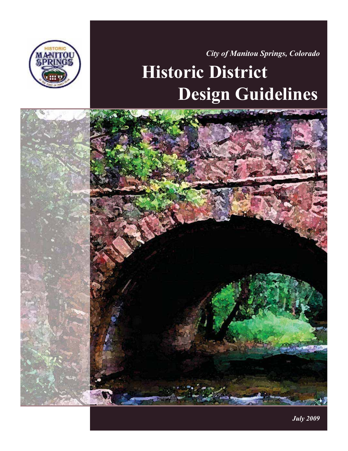

*City of Manitou Springs, Colorado* 

# **Historic District Design Guidelines**



*July 2009*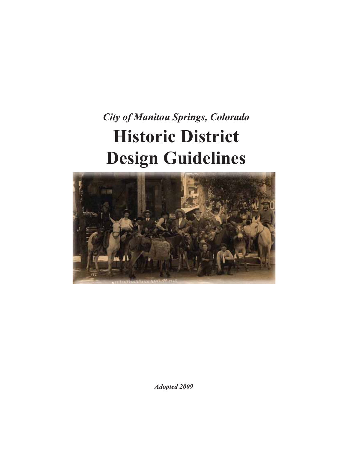## *City of Manitou Springs, Colorado*  **Historic District Design Guidelines**



*Adopted 2009*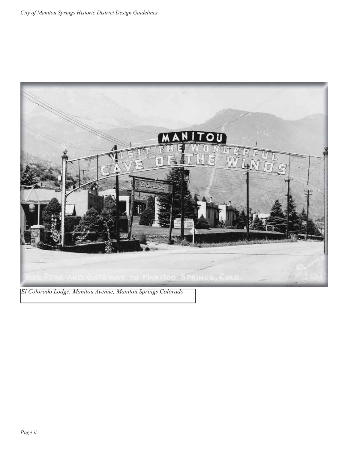

*El Colorado Lodge, Manitou Avenue, Manitou Springs Colorado*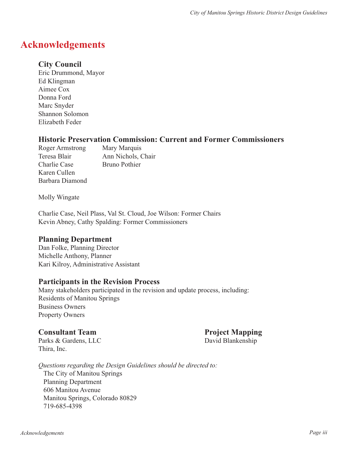## **Acknowledgements**

#### **City Council**

Eric Drummond, Mayor Ed Klingman Aimee Cox Donna Ford Marc Snyder Shannon Solomon Elizabeth Feder

#### **Historic Preservation Commission: Current and Former Commissioners**

Roger Armstrong Mary Marquis Charlie Case Bruno Pothier Karen Cullen Barbara Diamond

Teresa Blair Ann Nichols, Chair

Molly Wingate

Charlie Case, Neil Plass, Val St. Cloud, Joe Wilson: Former Chairs Kevin Abney, Cathy Spalding: Former Commissioners

#### **Planning Department**

Dan Folke, Planning Director Michelle Anthony, Planner Kari Kilroy, Administrative Assistant

#### **Participants in the Revision Process**

Many stakeholders participated in the revision and update process, including: Residents of Manitou Springs Business Owners Property Owners

#### **Consultant Team Project Mapping**

Parks & Gardens, LLC David Blankenship Thira, Inc.

*Questions regarding the Design Guidelines should be directed to:* The City of Manitou Springs Planning Department 606 Manitou Avenue Manitou Springs, Colorado 80829 719-685-4398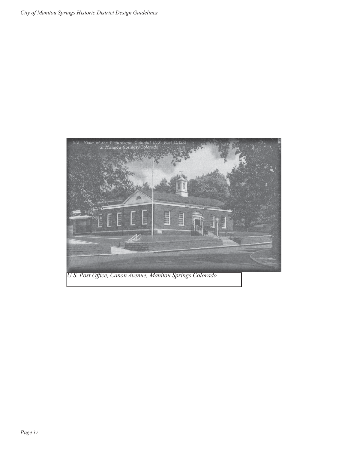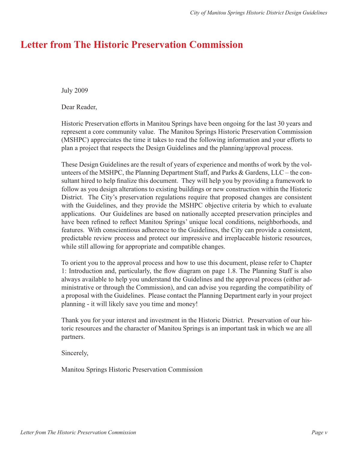### **Letter from The Historic Preservation Commission**

July 2009

Dear Reader,

Historic Preservation efforts in Manitou Springs have been ongoing for the last 30 years and represent a core community value. The Manitou Springs Historic Preservation Commission (MSHPC) appreciates the time it takes to read the following information and your efforts to plan a project that respects the Design Guidelines and the planning/approval process.

These Design Guidelines are the result of years of experience and months of work by the volunteers of the MSHPC, the Planning Department Staff, and Parks & Gardens, LLC – the consultant hired to help finalize this document. They will help you by providing a framework to follow as you design alterations to existing buildings or new construction within the Historic District. The City's preservation regulations require that proposed changes are consistent with the Guidelines, and they provide the MSHPC objective criteria by which to evaluate applications. Our Guidelines are based on nationally accepted preservation principles and have been refined to reflect Manitou Springs' unique local conditions, neighborhoods, and features. With conscientious adherence to the Guidelines, the City can provide a consistent, predictable review process and protect our impressive and irreplaceable historic resources, while still allowing for appropriate and compatible changes.

To orient you to the approval process and how to use this document, please refer to Chapter 1: Introduction and, particularly, the flow diagram on page 1.8. The Planning Staff is also always available to help you understand the Guidelines and the approval process (either administrative or through the Commission), and can advise you regarding the compatibility of a proposal with the Guidelines. Please contact the Planning Department early in your project planning - it will likely save you time and money!

Thank you for your interest and investment in the Historic District. Preservation of our historic resources and the character of Manitou Springs is an important task in which we are all partners.

Sincerely,

Manitou Springs Historic Preservation Commission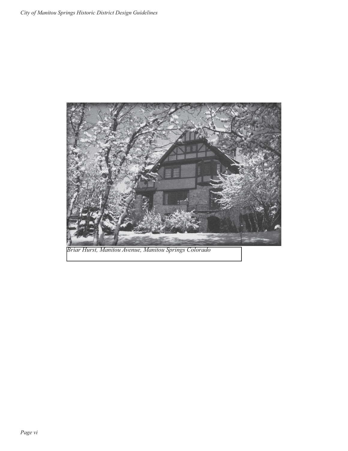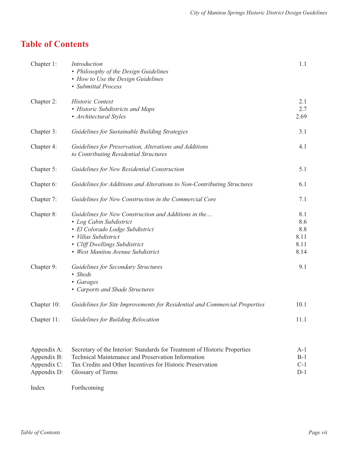## **Table of Contents**

| Chapter 1:                                               | Introduction<br>• Philosophy of the Design Guidelines<br>• How to Use the Design Guidelines<br>• Submittal Process                                                                                                 | 1.1                                       |
|----------------------------------------------------------|--------------------------------------------------------------------------------------------------------------------------------------------------------------------------------------------------------------------|-------------------------------------------|
| Chapter 2:                                               | <b>Historic Context</b><br>• Historic Subdistricts and Maps<br>• Architectural Styles                                                                                                                              | 2.1<br>2.7<br>2.69                        |
| Chapter 3:                                               | Guidelines for Sustainable Building Strategies                                                                                                                                                                     | 3.1                                       |
| Chapter 4:                                               | Guidelines for Preservation, Alterations and Additions<br>to Contributing Residential Structures                                                                                                                   | 4.1                                       |
| Chapter 5:                                               | Guidelines for New Residential Construction                                                                                                                                                                        | 5.1                                       |
| Chapter 6:                                               | Guidelines for Additions and Alterations to Non-Contributing Structures                                                                                                                                            | 6.1                                       |
| Chapter 7:                                               | Guidelines for New Construction in the Commercial Core                                                                                                                                                             | 7.1                                       |
| Chapter 8:                                               | Guidelines for New Construction and Additions in the<br>• Log Cabin Subdistrict<br>· El Colorado Lodge Subdistrict<br>· Villas Subdistrict<br>• Cliff Dwellings Subdistrict<br>• West Manitou Avenue Subdistrict   | 8.1<br>8.6<br>8.8<br>8.11<br>8.11<br>8.14 |
| Chapter 9:                                               | <b>Guidelines for Secondary Structures</b><br>• Sheds<br>• Garages<br>• Carports and Shade Structures                                                                                                              | 9.1                                       |
| Chapter 10:                                              | Guidelines for Site Improvements for Residential and Commercial Properties                                                                                                                                         | 10.1                                      |
| Chapter 11:                                              | Guidelines for Building Relocation                                                                                                                                                                                 | 11.1                                      |
| Appendix A:<br>Appendix B:<br>Appendix C:<br>Appendix D: | Secretary of the Interior: Standards for Treatment of Historic Properties<br>Technical Maintenance and Preservation Information<br>Tax Credits and Other Incentives for Historic Preservation<br>Glossary of Terms | $A-1$<br>$B-1$<br>$C-1$<br>$D-1$          |
| Index                                                    | Forthcoming                                                                                                                                                                                                        |                                           |